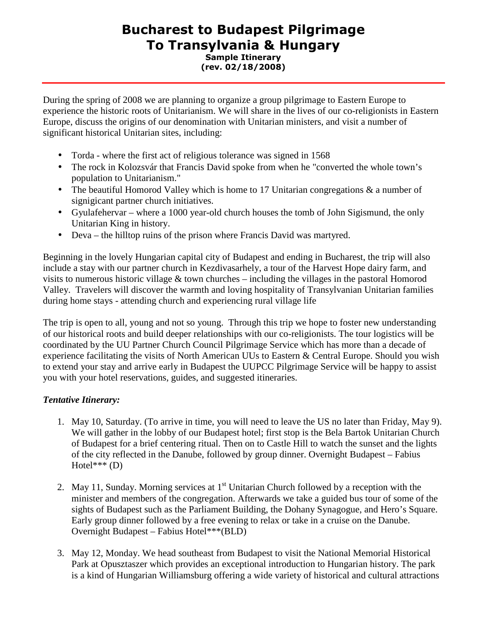## Bucharest to Budapest Pilgrimage To Transylvania & Hungary Sample Itinerary (rev. 02/18/2008)

During the spring of 2008 we are planning to organize a group pilgrimage to Eastern Europe to experience the historic roots of Unitarianism. We will share in the lives of our co-religionists in Eastern Europe, discuss the origins of our denomination with Unitarian ministers, and visit a number of significant historical Unitarian sites, including:

- Torda where the first act of religious tolerance was signed in 1568
- The rock in Kolozsvár that Francis David spoke from when he "converted the whole town's population to Unitarianism."
- The beautiful Homorod Valley which is home to 17 Unitarian congregations  $\&$  a number of signigicant partner church initiatives.
- Gyulafehervar where a 1000 year-old church houses the tomb of John Sigismund, the only Unitarian King in history.
- Deva the hilltop ruins of the prison where Francis David was martyred.

Beginning in the lovely Hungarian capital city of Budapest and ending in Bucharest, the trip will also include a stay with our partner church in Kezdivasarhely, a tour of the Harvest Hope dairy farm, and visits to numerous historic village & town churches – including the villages in the pastoral Homorod Valley. Travelers will discover the warmth and loving hospitality of Transylvanian Unitarian families during home stays - attending church and experiencing rural village life

The trip is open to all, young and not so young. Through this trip we hope to foster new understanding of our historical roots and build deeper relationships with our co-religionists. The tour logistics will be coordinated by the UU Partner Church Council Pilgrimage Service which has more than a decade of experience facilitating the visits of North American UUs to Eastern & Central Europe. Should you wish to extend your stay and arrive early in Budapest the UUPCC Pilgrimage Service will be happy to assist you with your hotel reservations, guides, and suggested itineraries.

## *Tentative Itinerary:*

- 1. May 10, Saturday. (To arrive in time, you will need to leave the US no later than Friday, May 9). We will gather in the lobby of our Budapest hotel; first stop is the Bela Bartok Unitarian Church of Budapest for a brief centering ritual. Then on to Castle Hill to watch the sunset and the lights of the city reflected in the Danube, followed by group dinner. Overnight Budapest – Fabius Hotel\*\*\* (D)
- 2. May 11, Sunday. Morning services at  $1<sup>st</sup>$  Unitarian Church followed by a reception with the minister and members of the congregation. Afterwards we take a guided bus tour of some of the sights of Budapest such as the Parliament Building, the Dohany Synagogue, and Hero's Square. Early group dinner followed by a free evening to relax or take in a cruise on the Danube. Overnight Budapest – Fabius Hotel\*\*\*(BLD)
- 3. May 12, Monday. We head southeast from Budapest to visit the National Memorial Historical Park at Opusztaszer which provides an exceptional introduction to Hungarian history. The park is a kind of Hungarian Williamsburg offering a wide variety of historical and cultural attractions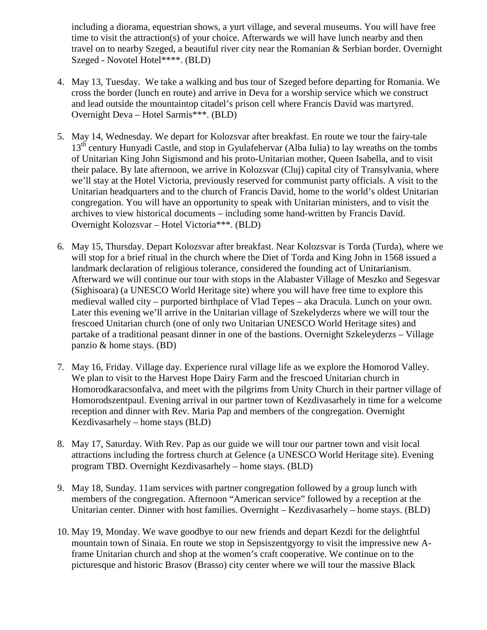including a diorama, equestrian shows, a yurt village, and several museums. You will have free time to visit the attraction(s) of your choice. Afterwards we will have lunch nearby and then travel on to nearby Szeged, a beautiful river city near the Romanian & Serbian border. Overnight Szeged - Novotel Hotel\*\*\*\*. (BLD)

- 4. May 13, Tuesday. We take a walking and bus tour of Szeged before departing for Romania. We cross the border (lunch en route) and arrive in Deva for a worship service which we construct and lead outside the mountaintop citadel's prison cell where Francis David was martyred. Overnight Deva – Hotel Sarmis\*\*\*. (BLD)
- 5. May 14, Wednesday. We depart for Kolozsvar after breakfast. En route we tour the fairy-tale 13<sup>th</sup> century Hunyadi Castle, and stop in Gyulafehervar (Alba Iulia) to lay wreaths on the tombs of Unitarian King John Sigismond and his proto-Unitarian mother, Queen Isabella, and to visit their palace. By late afternoon, we arrive in Kolozsvar (Cluj) capital city of Transylvania, where we'll stay at the Hotel Victoria, previously reserved for communist party officials. A visit to the Unitarian headquarters and to the church of Francis David, home to the world's oldest Unitarian congregation. You will have an opportunity to speak with Unitarian ministers, and to visit the archives to view historical documents – including some hand-written by Francis David. Overnight Kolozsvar – Hotel Victoria\*\*\*. (BLD)
- 6. May 15, Thursday. Depart Kolozsvar after breakfast. Near Kolozsvar is Torda (Turda), where we will stop for a brief ritual in the church where the Diet of Torda and King John in 1568 issued a landmark declaration of religious tolerance, considered the founding act of Unitarianism. Afterward we will continue our tour with stops in the Alabaster Village of Meszko and Segesvar (Sighisoara) (a UNESCO World Heritage site) where you will have free time to explore this medieval walled city – purported birthplace of Vlad Tepes – aka Dracula. Lunch on your own. Later this evening we'll arrive in the Unitarian village of Szekelyderzs where we will tour the frescoed Unitarian church (one of only two Unitarian UNESCO World Heritage sites) and partake of a traditional peasant dinner in one of the bastions. Overnight Szkeleyderzs – Village panzio & home stays. (BD)
- 7. May 16, Friday. Village day. Experience rural village life as we explore the Homorod Valley. We plan to visit to the Harvest Hope Dairy Farm and the frescoed Unitarian church in Homorodkaracsonfalva, and meet with the pilgrims from Unity Church in their partner village of Homorodszentpaul. Evening arrival in our partner town of Kezdivasarhely in time for a welcome reception and dinner with Rev. Maria Pap and members of the congregation. Overnight Kezdivasarhely – home stays (BLD)
- 8. May 17, Saturday. With Rev. Pap as our guide we will tour our partner town and visit local attractions including the fortress church at Gelence (a UNESCO World Heritage site). Evening program TBD. Overnight Kezdivasarhely – home stays. (BLD)
- 9. May 18, Sunday. 11am services with partner congregation followed by a group lunch with members of the congregation. Afternoon "American service" followed by a reception at the Unitarian center. Dinner with host families. Overnight – Kezdivasarhely – home stays. (BLD)
- 10. May 19, Monday. We wave goodbye to our new friends and depart Kezdi for the delightful mountain town of Sinaia. En route we stop in Sepsiszentgyorgy to visit the impressive new Aframe Unitarian church and shop at the women's craft cooperative. We continue on to the picturesque and historic Brasov (Brasso) city center where we will tour the massive Black